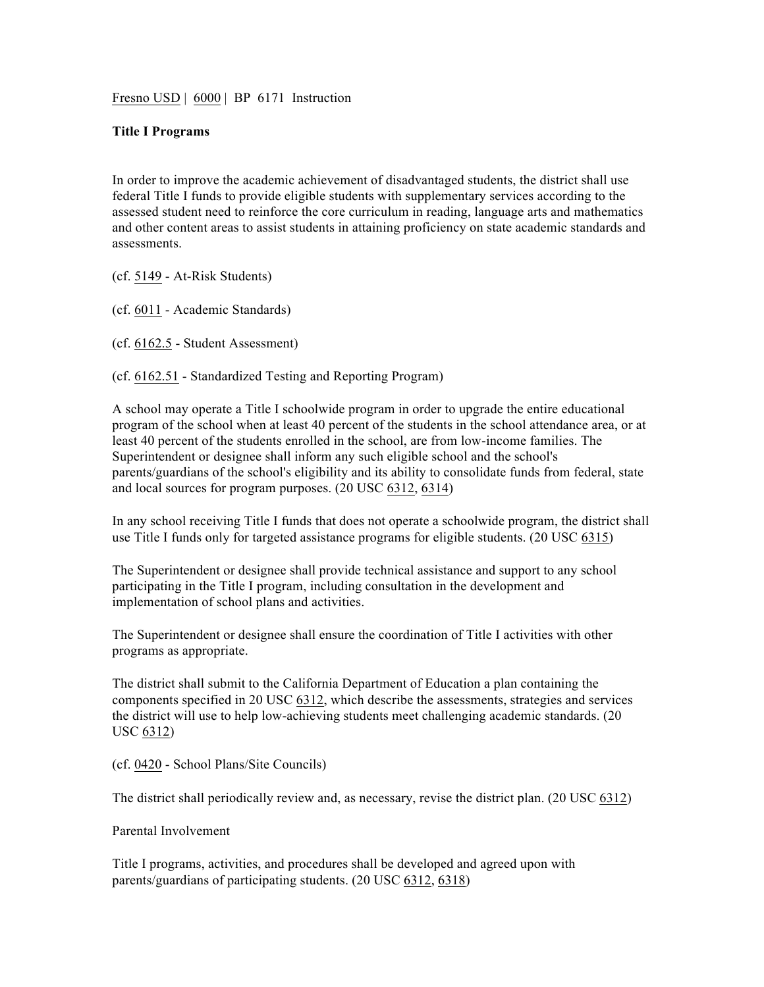Fresno USD | 6000 | BP 6171 Instruction

#### **Title I Programs**

In order to improve the academic achievement of disadvantaged students, the district shall use federal Title I funds to provide eligible students with supplementary services according to the assessed student need to reinforce the core curriculum in reading, language arts and mathematics and other content areas to assist students in attaining proficiency on state academic standards and assessments.

(cf. 5149 - At-Risk Students)

(cf. 6011 - Academic Standards)

(cf. 6162.5 - Student Assessment)

(cf. 6162.51 - Standardized Testing and Reporting Program)

A school may operate a Title I schoolwide program in order to upgrade the entire educational program of the school when at least 40 percent of the students in the school attendance area, or at least 40 percent of the students enrolled in the school, are from low-income families. The Superintendent or designee shall inform any such eligible school and the school's parents/guardians of the school's eligibility and its ability to consolidate funds from federal, state and local sources for program purposes. (20 USC 6312, 6314)

In any school receiving Title I funds that does not operate a schoolwide program, the district shall use Title I funds only for targeted assistance programs for eligible students. (20 USC 6315)

The Superintendent or designee shall provide technical assistance and support to any school participating in the Title I program, including consultation in the development and implementation of school plans and activities.

The Superintendent or designee shall ensure the coordination of Title I activities with other programs as appropriate.

The district shall submit to the California Department of Education a plan containing the components specified in 20 USC 6312, which describe the assessments, strategies and services the district will use to help low-achieving students meet challenging academic standards. (20 USC 6312)

(cf. 0420 - School Plans/Site Councils)

The district shall periodically review and, as necessary, revise the district plan. (20 USC 6312)

### Parental Involvement

Title I programs, activities, and procedures shall be developed and agreed upon with parents/guardians of participating students. (20 USC 6312, 6318)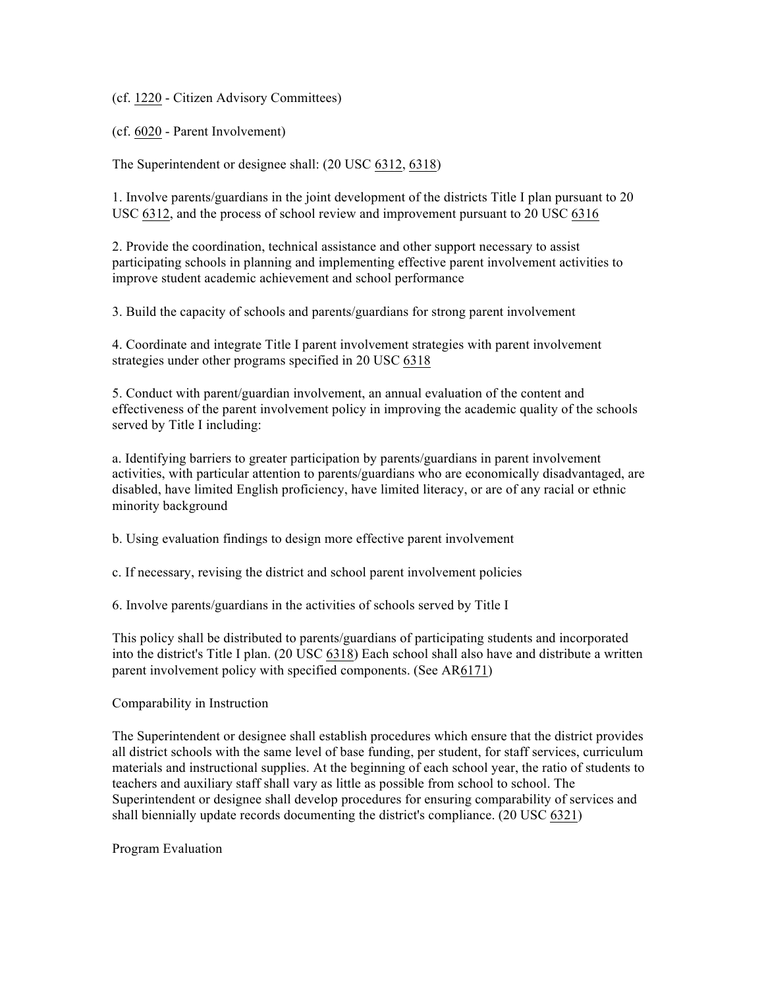(cf. 1220 - Citizen Advisory Committees)

(cf. 6020 - Parent Involvement)

The Superintendent or designee shall: (20 USC 6312, 6318)

1. Involve parents/guardians in the joint development of the districts Title I plan pursuant to 20 USC 6312, and the process of school review and improvement pursuant to 20 USC 6316

2. Provide the coordination, technical assistance and other support necessary to assist participating schools in planning and implementing effective parent involvement activities to improve student academic achievement and school performance

3. Build the capacity of schools and parents/guardians for strong parent involvement

4. Coordinate and integrate Title I parent involvement strategies with parent involvement strategies under other programs specified in 20 USC 6318

5. Conduct with parent/guardian involvement, an annual evaluation of the content and effectiveness of the parent involvement policy in improving the academic quality of the schools served by Title I including:

a. Identifying barriers to greater participation by parents/guardians in parent involvement activities, with particular attention to parents/guardians who are economically disadvantaged, are disabled, have limited English proficiency, have limited literacy, or are of any racial or ethnic minority background

b. Using evaluation findings to design more effective parent involvement

c. If necessary, revising the district and school parent involvement policies

6. Involve parents/guardians in the activities of schools served by Title I

This policy shall be distributed to parents/guardians of participating students and incorporated into the district's Title I plan. (20 USC 6318) Each school shall also have and distribute a written parent involvement policy with specified components. (See AR6171)

#### Comparability in Instruction

The Superintendent or designee shall establish procedures which ensure that the district provides all district schools with the same level of base funding, per student, for staff services, curriculum materials and instructional supplies. At the beginning of each school year, the ratio of students to teachers and auxiliary staff shall vary as little as possible from school to school. The Superintendent or designee shall develop procedures for ensuring comparability of services and shall biennially update records documenting the district's compliance. (20 USC 6321)

Program Evaluation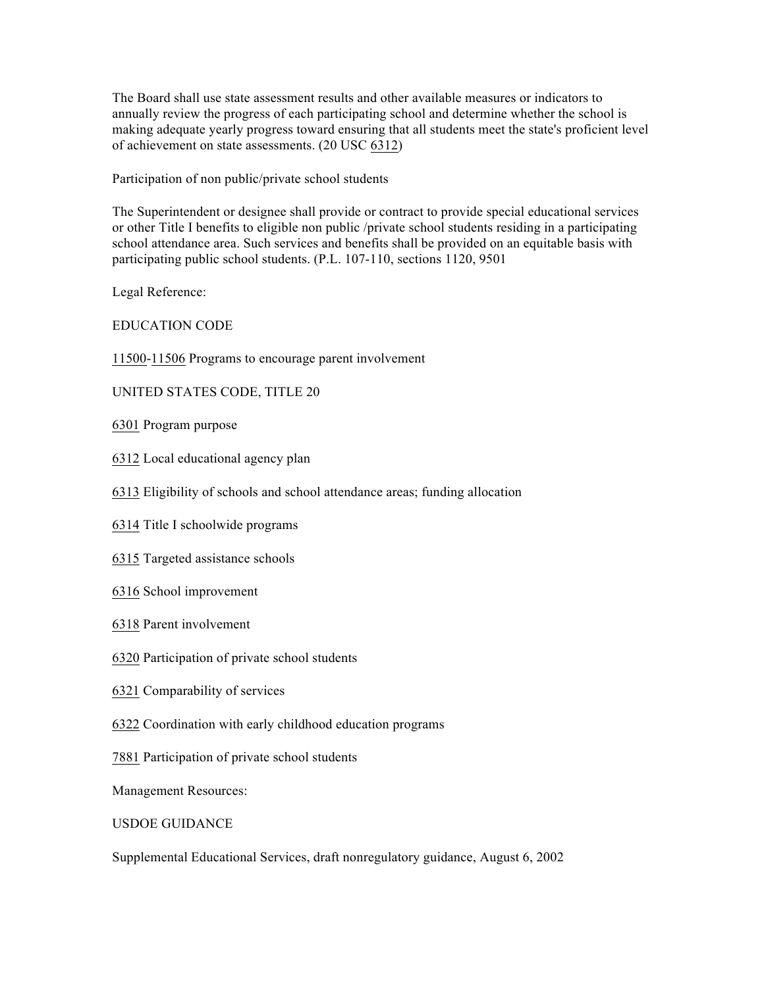The Board shall use state assessment results and other available measures or indicators to annually review the progress of each participating school and determine whether the school is making adequate yearly progress toward ensuring that all students meet the state's proficient level of achievement on state assessments. (20 USC 6312)

Participation of non public/private school students

The Superintendent or designee shall provide or contract to provide special educational services or other Title I benefits to eligible non public /private school students residing in a participating school attendance area. Such services and benefits shall be provided on an equitable basis with participating public school students. (P.L. 107-110, sections 1120, 9501

Legal Reference:

EDUCATION CODE

11500-11506 Programs to encourage parent involvement

UNITED STATES CODE, TITLE 20

- 6301 Program purpose
- 6312 Local educational agency plan
- 6313 Eligibility of schools and school attendance areas; funding allocation
- 6314 Title I schoolwide programs
- 6315 Targeted assistance schools
- 6316 School improvement
- 6318 Parent involvement
- 6320 Participation of private school students
- 6321 Comparability of services
- 6322 Coordination with early childhood education programs
- 7881 Participation of private school students

Management Resources:

### USDOE GUIDANCE

Supplemental Educational Services, draft nonregulatory guidance, August 6, 2002